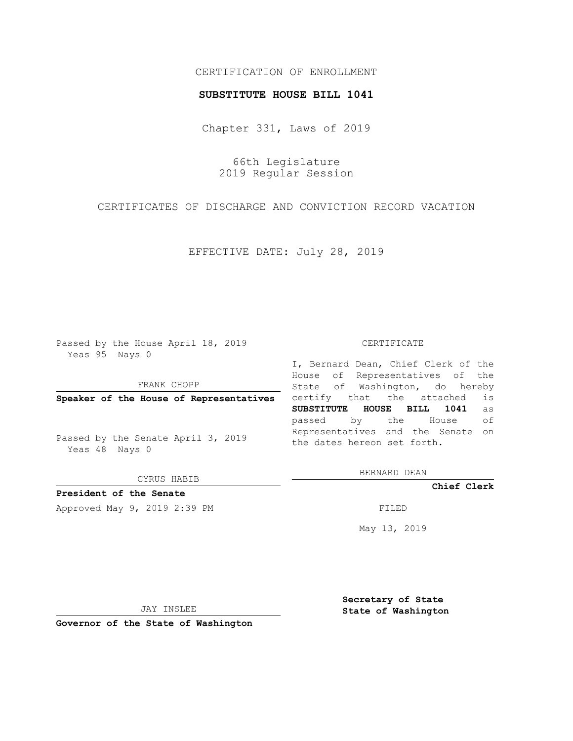## CERTIFICATION OF ENROLLMENT

#### **SUBSTITUTE HOUSE BILL 1041**

Chapter 331, Laws of 2019

66th Legislature 2019 Regular Session

CERTIFICATES OF DISCHARGE AND CONVICTION RECORD VACATION

EFFECTIVE DATE: July 28, 2019

Passed by the House April 18, 2019 Yeas 95 Nays 0

FRANK CHOPP

**Speaker of the House of Representatives**

Passed by the Senate April 3, 2019 Yeas 48 Nays 0

CYRUS HABIB

**President of the Senate**

Approved May 9, 2019 2:39 PM

#### CERTIFICATE

I, Bernard Dean, Chief Clerk of the House of Representatives of the State of Washington, do hereby certify that the attached is **SUBSTITUTE HOUSE BILL 1041** as passed by the House of Representatives and the Senate on the dates hereon set forth.

BERNARD DEAN

**Chief Clerk**

May 13, 2019

JAY INSLEE

**Governor of the State of Washington**

**Secretary of State State of Washington**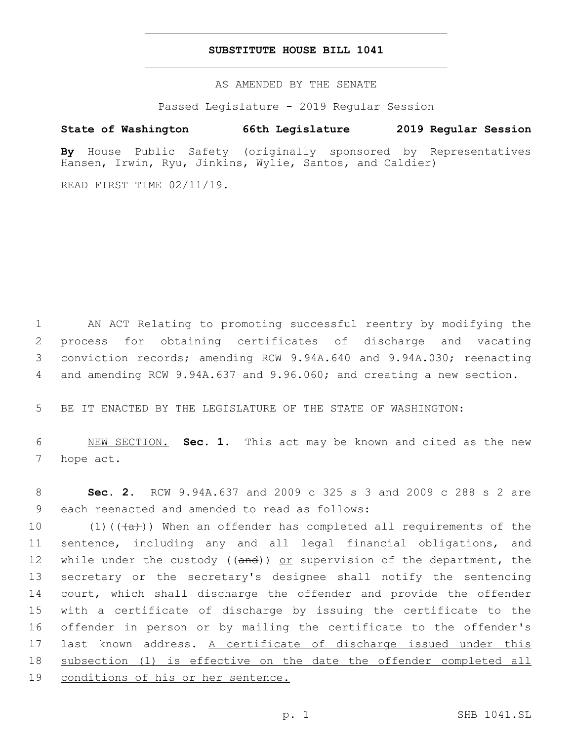### **SUBSTITUTE HOUSE BILL 1041**

AS AMENDED BY THE SENATE

Passed Legislature - 2019 Regular Session

# **State of Washington 66th Legislature 2019 Regular Session**

**By** House Public Safety (originally sponsored by Representatives Hansen, Irwin, Ryu, Jinkins, Wylie, Santos, and Caldier)

READ FIRST TIME 02/11/19.

 AN ACT Relating to promoting successful reentry by modifying the process for obtaining certificates of discharge and vacating conviction records; amending RCW 9.94A.640 and 9.94A.030; reenacting and amending RCW 9.94A.637 and 9.96.060; and creating a new section.

5 BE IT ENACTED BY THE LEGISLATURE OF THE STATE OF WASHINGTON:

6 NEW SECTION. **Sec. 1.** This act may be known and cited as the new 7 hope act.

8 **Sec. 2.** RCW 9.94A.637 and 2009 c 325 s 3 and 2009 c 288 s 2 are 9 each reenacted and amended to read as follows:

10 (1)( $(\overline{a})$ )) When an offender has completed all requirements of the sentence, including any and all legal financial obligations, and 12 while under the custody ((and)) or supervision of the department, the secretary or the secretary's designee shall notify the sentencing 14 court, which shall discharge the offender and provide the offender with a certificate of discharge by issuing the certificate to the offender in person or by mailing the certificate to the offender's last known address. A certificate of discharge issued under this subsection (1) is effective on the date the offender completed all conditions of his or her sentence.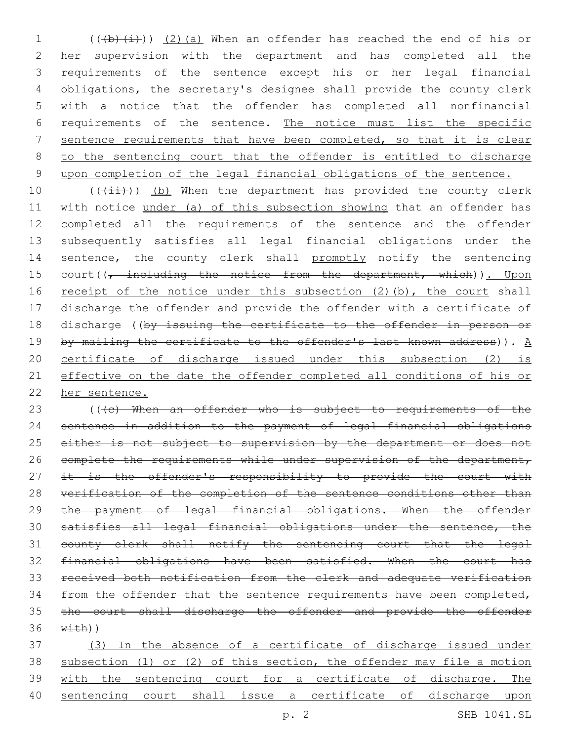1 (((b)(i)) (2)(a) When an offender has reached the end of his or her supervision with the department and has completed all the requirements of the sentence except his or her legal financial obligations, the secretary's designee shall provide the county clerk with a notice that the offender has completed all nonfinancial requirements of the sentence. The notice must list the specific sentence requirements that have been completed, so that it is clear to the sentencing court that the offender is entitled to discharge upon completion of the legal financial obligations of the sentence.

 $((\overrightarrow{\pm}i))$  (b) When the department has provided the county clerk with notice under (a) of this subsection showing that an offender has completed all the requirements of the sentence and the offender subsequently satisfies all legal financial obligations under the 14 sentence, the county clerk shall promptly notify the sentencing 15 court((, including the notice from the department, which)). Upon 16 receipt of the notice under this subsection (2)(b), the court shall discharge the offender and provide the offender with a certificate of 18 discharge ((by issuing the certificate to the offender in person or 19 by mailing the certificate to the offender's last known address)).  $\underline{A}$  certificate of discharge issued under this subsection (2) is effective on the date the offender completed all conditions of his or her sentence.

23 (((c) When an offender who is subject to requirements of the sentence in addition to the payment of legal financial obligations 25 either is not subject to supervision by the department or does not 26 complete the requirements while under supervision of the department, 27 it is the offender's responsibility to provide the court with verification of the completion of the sentence conditions other than the payment of legal financial obligations. When the offender satisfies all legal financial obligations under the sentence, the county clerk shall notify the sentencing court that the legal financial obligations have been satisfied. When the court has received both notification from the clerk and adequate verification 34 from the offender that the sentence requirements have been completed, the court shall discharge the offender and provide the offender  $\overline{\text{width}})$ 

 (3) In the absence of a certificate of discharge issued under subsection (1) or (2) of this section, the offender may file a motion with the sentencing court for a certificate of discharge. The sentencing court shall issue a certificate of discharge upon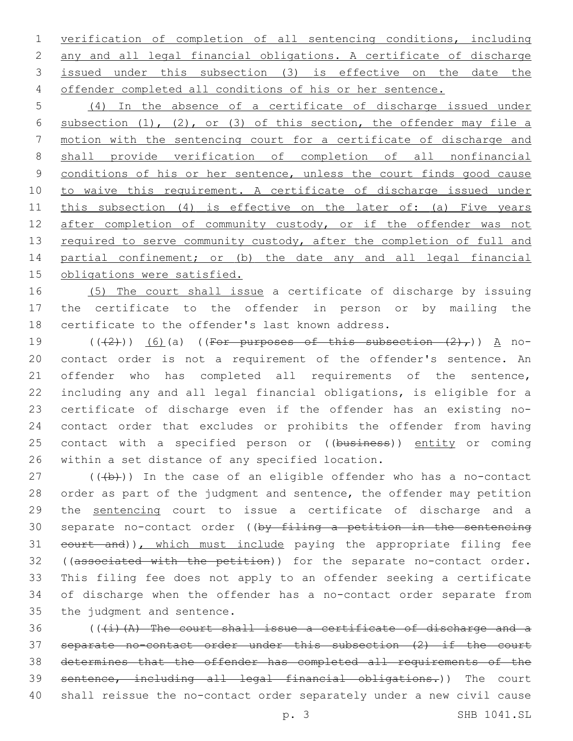verification of completion of all sentencing conditions, including any and all legal financial obligations. A certificate of discharge issued under this subsection (3) is effective on the date the offender completed all conditions of his or her sentence.

 (4) In the absence of a certificate of discharge issued under subsection (1), (2), or (3) of this section, the offender may file a motion with the sentencing court for a certificate of discharge and shall provide verification of completion of all nonfinancial conditions of his or her sentence, unless the court finds good cause to waive this requirement. A certificate of discharge issued under this subsection (4) is effective on the later of: (a) Five years 12 after completion of community custody, or if the offender was not 13 required to serve community custody, after the completion of full and 14 partial confinement; or (b) the date any and all legal financial obligations were satisfied.

 (5) The court shall issue a certificate of discharge by issuing the certificate to the offender in person or by mailing the 18 certificate to the offender's last known address.

 $((+2+))$   $(6)$  (a) ((For purposes of this subsection  $(2)$ ,)) A no- contact order is not a requirement of the offender's sentence. An offender who has completed all requirements of the sentence, including any and all legal financial obligations, is eligible for a certificate of discharge even if the offender has an existing no- contact order that excludes or prohibits the offender from having 25 contact with a specified person or ((business)) entity or coming 26 within a set distance of any specified location.

 (( $\left(\frac{1}{2}\right)$ ) In the case of an eligible offender who has a no-contact order as part of the judgment and sentence, the offender may petition the sentencing court to issue a certificate of discharge and a 30 separate no-contact order ((by filing a petition in the sentencing 31 court and)), which must include paying the appropriate filing fee 32 ((associated with the petition)) for the separate no-contact order. This filing fee does not apply to an offender seeking a certificate of discharge when the offender has a no-contact order separate from 35 the judgment and sentence.

 (((i)(A) The court shall issue a certificate of discharge and a separate no-contact order under this subsection (2) if the court determines that the offender has completed all requirements of the sentence, including all legal financial obligations.)) The court shall reissue the no-contact order separately under a new civil cause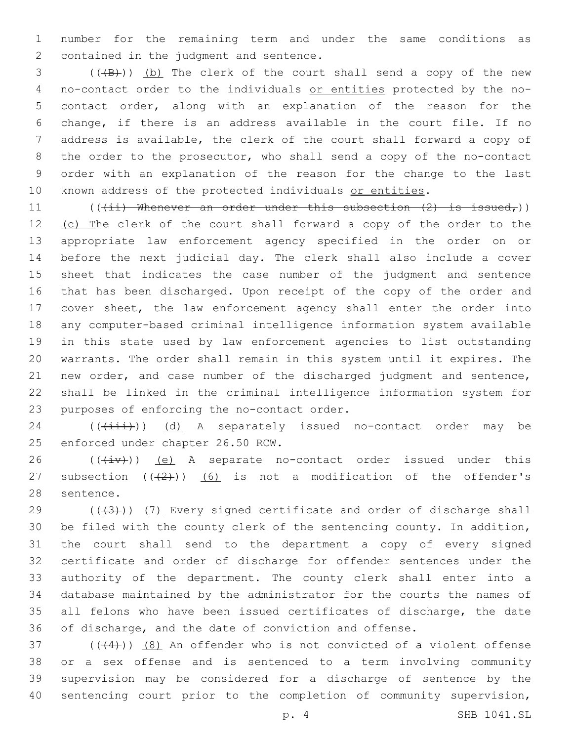number for the remaining term and under the same conditions as 2 contained in the judgment and sentence.

3 (((B))) (b) The clerk of the court shall send a copy of the new no-contact order to the individuals or entities protected by the no- contact order, along with an explanation of the reason for the change, if there is an address available in the court file. If no address is available, the clerk of the court shall forward a copy of the order to the prosecutor, who shall send a copy of the no-contact order with an explanation of the reason for the change to the last 10 known address of the protected individuals or entities.

11 ( $((4i)$  Whenever an order under this subsection  $(2)$  is issued,)) 12 (c) The clerk of the court shall forward a copy of the order to the appropriate law enforcement agency specified in the order on or before the next judicial day. The clerk shall also include a cover sheet that indicates the case number of the judgment and sentence that has been discharged. Upon receipt of the copy of the order and cover sheet, the law enforcement agency shall enter the order into any computer-based criminal intelligence information system available in this state used by law enforcement agencies to list outstanding warrants. The order shall remain in this system until it expires. The new order, and case number of the discharged judgment and sentence, shall be linked in the criminal intelligence information system for 23 purposes of enforcing the no-contact order.

 $((\overrightarrow{1}i))$  (d) A separately issued no-contact order may be 25 enforced under chapter 26.50 RCW.

26  $((\overline{(+i}v))$  (e) A separate no-contact order issued under this 27 subsection  $((2+))$  (6) is not a modification of the offender's 28 sentence.

 $((+3+))$   $(7)$  Every signed certificate and order of discharge shall be filed with the county clerk of the sentencing county. In addition, the court shall send to the department a copy of every signed certificate and order of discharge for offender sentences under the authority of the department. The county clerk shall enter into a database maintained by the administrator for the courts the names of all felons who have been issued certificates of discharge, the date of discharge, and the date of conviction and offense.

 $(1,4)$  ( $(4)$ ))  $(8)$  An offender who is not convicted of a violent offense or a sex offense and is sentenced to a term involving community supervision may be considered for a discharge of sentence by the 40 sentencing court prior to the completion of community supervision,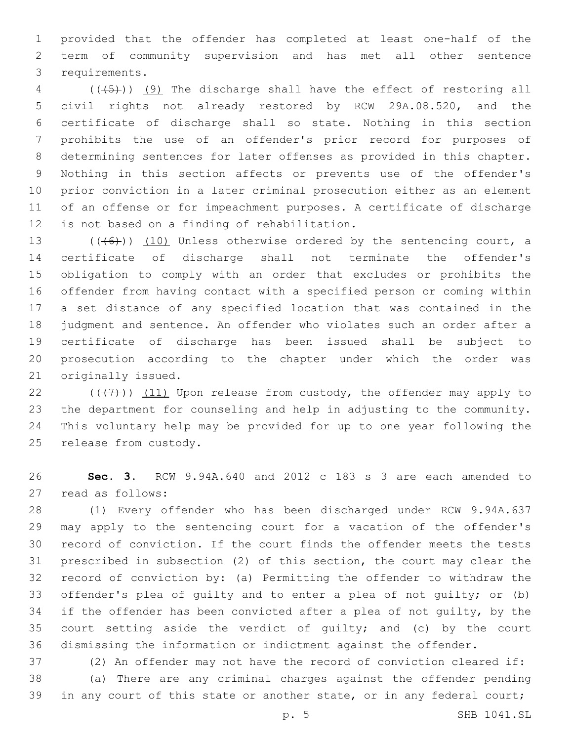provided that the offender has completed at least one-half of the term of community supervision and has met all other sentence 3 requirements.

4 (( $(45)$ )) (9) The discharge shall have the effect of restoring all civil rights not already restored by RCW 29A.08.520, and the certificate of discharge shall so state. Nothing in this section prohibits the use of an offender's prior record for purposes of determining sentences for later offenses as provided in this chapter. Nothing in this section affects or prevents use of the offender's prior conviction in a later criminal prosecution either as an element of an offense or for impeachment purposes. A certificate of discharge 12 is not based on a finding of rehabilitation.

13 (((6)) (10) Unless otherwise ordered by the sentencing court, a certificate of discharge shall not terminate the offender's obligation to comply with an order that excludes or prohibits the offender from having contact with a specified person or coming within a set distance of any specified location that was contained in the judgment and sentence. An offender who violates such an order after a certificate of discharge has been issued shall be subject to prosecution according to the chapter under which the order was 21 originally issued.

 $((+7+))$  (11) Upon release from custody, the offender may apply to the department for counseling and help in adjusting to the community. This voluntary help may be provided for up to one year following the 25 release from custody.

 **Sec. 3.** RCW 9.94A.640 and 2012 c 183 s 3 are each amended to 27 read as follows:

 (1) Every offender who has been discharged under RCW 9.94A.637 may apply to the sentencing court for a vacation of the offender's record of conviction. If the court finds the offender meets the tests prescribed in subsection (2) of this section, the court may clear the record of conviction by: (a) Permitting the offender to withdraw the offender's plea of guilty and to enter a plea of not guilty; or (b) if the offender has been convicted after a plea of not guilty, by the court setting aside the verdict of guilty; and (c) by the court dismissing the information or indictment against the offender.

(2) An offender may not have the record of conviction cleared if:

 (a) There are any criminal charges against the offender pending 39 in any court of this state or another state, or in any federal court;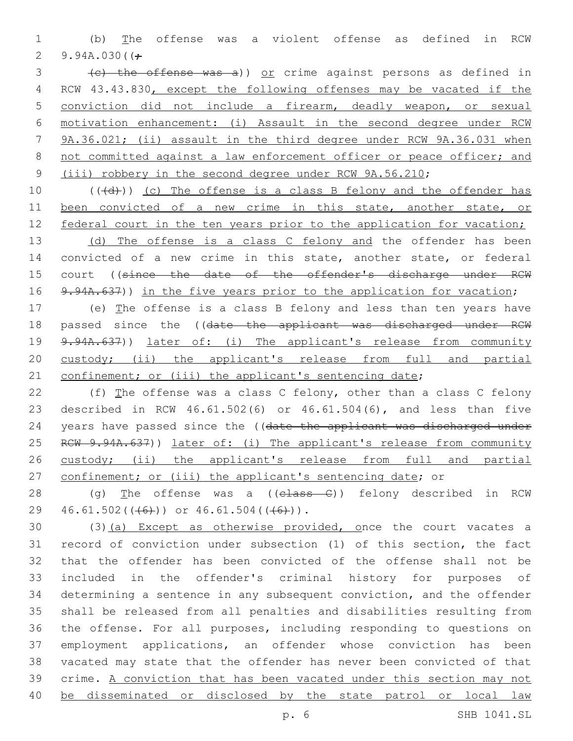1 (b) The offense was a violent offense as defined in RCW 2 9.94A.030( $\div$ 

3 (c) the offense was a)) or crime against persons as defined in RCW 43.43.830, except the following offenses may be vacated if the conviction did not include a firearm, deadly weapon, or sexual motivation enhancement: (i) Assault in the second degree under RCW 9A.36.021; (ii) assault in the third degree under RCW 9A.36.031 when 8 not committed against a law enforcement officer or peace officer; and (iii) robbery in the second degree under RCW 9A.56.210;

10  $((+d))$  (c) The offense is a class B felony and the offender has 11 been convicted of a new crime in this state, another state, or 12 federal court in the ten years prior to the application for vacation;

13 (d) The offense is a class C felony and the offender has been 14 convicted of a new crime in this state, another state, or federal 15 court ((since the date of the offender's discharge under RCW 16 9.94A.637)) in the five years prior to the application for vacation;

17 (e) The offense is a class B felony and less than ten years have 18 passed since the ((date the applicant was discharged under RCW 19 9.94A.637)) later of: (i) The applicant's release from community 20 custody; (ii) the applicant's release from full and partial 21 confinement; or (iii) the applicant's sentencing date;

22 (f) The offense was a class C felony, other than a class C felony 23 described in RCW 46.61.502(6) or 46.61.504(6), and less than five 24 years have passed since the ((date the applicant was discharged under 25 RCW 9.94A.637)) later of: (i) The applicant's release from community 26 custody; (ii) the applicant's release from full and partial 27 confinement; or (iii) the applicant's sentencing date; or

28 (g) The offense was a ((class C)) felony described in RCW 29  $46.61.502((+6))$  or  $46.61.504((+6))$ .

30 (3)(a) Except as otherwise provided, once the court vacates a record of conviction under subsection (1) of this section, the fact that the offender has been convicted of the offense shall not be included in the offender's criminal history for purposes of determining a sentence in any subsequent conviction, and the offender shall be released from all penalties and disabilities resulting from the offense. For all purposes, including responding to questions on employment applications, an offender whose conviction has been vacated may state that the offender has never been convicted of that crime. A conviction that has been vacated under this section may not be disseminated or disclosed by the state patrol or local law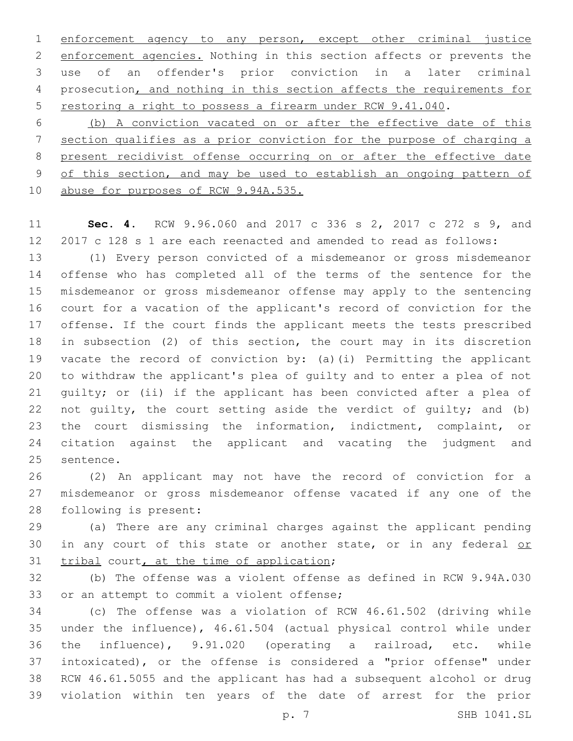enforcement agency to any person, except other criminal justice enforcement agencies. Nothing in this section affects or prevents the use of an offender's prior conviction in a later criminal prosecution, and nothing in this section affects the requirements for restoring a right to possess a firearm under RCW 9.41.040.

 (b) A conviction vacated on or after the effective date of this section qualifies as a prior conviction for the purpose of charging a present recidivist offense occurring on or after the effective date of this section, and may be used to establish an ongoing pattern of abuse for purposes of RCW 9.94A.535.

 **Sec. 4.** RCW 9.96.060 and 2017 c 336 s 2, 2017 c 272 s 9, and 2017 c 128 s 1 are each reenacted and amended to read as follows:

 (1) Every person convicted of a misdemeanor or gross misdemeanor offense who has completed all of the terms of the sentence for the misdemeanor or gross misdemeanor offense may apply to the sentencing court for a vacation of the applicant's record of conviction for the offense. If the court finds the applicant meets the tests prescribed in subsection (2) of this section, the court may in its discretion vacate the record of conviction by: (a)(i) Permitting the applicant to withdraw the applicant's plea of guilty and to enter a plea of not guilty; or (ii) if the applicant has been convicted after a plea of not guilty, the court setting aside the verdict of guilty; and (b) the court dismissing the information, indictment, complaint, or citation against the applicant and vacating the judgment and 25 sentence.

 (2) An applicant may not have the record of conviction for a misdemeanor or gross misdemeanor offense vacated if any one of the 28 following is present:

 (a) There are any criminal charges against the applicant pending 30 in any court of this state or another state, or in any federal or 31 tribal court, at the time of application;

 (b) The offense was a violent offense as defined in RCW 9.94A.030 33 or an attempt to commit a violent offense;

 (c) The offense was a violation of RCW 46.61.502 (driving while under the influence), 46.61.504 (actual physical control while under the influence), 9.91.020 (operating a railroad, etc. while intoxicated), or the offense is considered a "prior offense" under RCW 46.61.5055 and the applicant has had a subsequent alcohol or drug violation within ten years of the date of arrest for the prior

p. 7 SHB 1041.SL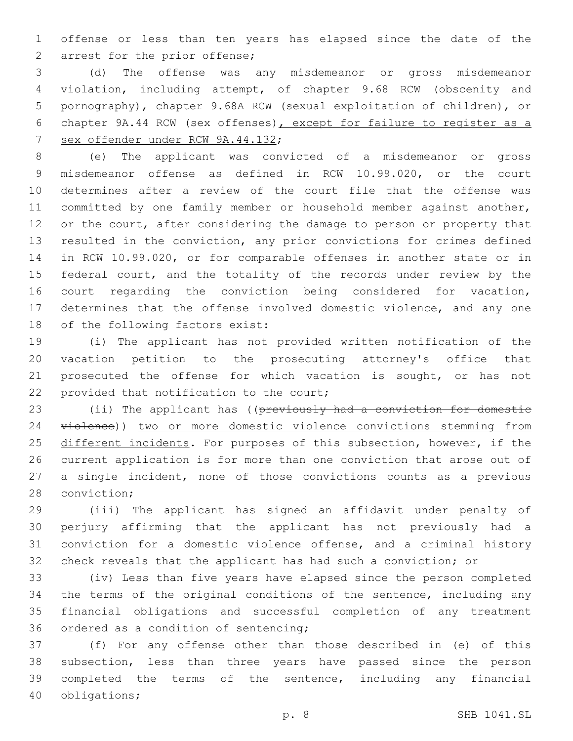offense or less than ten years has elapsed since the date of the 2 arrest for the prior offense;

 (d) The offense was any misdemeanor or gross misdemeanor violation, including attempt, of chapter 9.68 RCW (obscenity and pornography), chapter 9.68A RCW (sexual exploitation of children), or chapter 9A.44 RCW (sex offenses), except for failure to register as a 7 sex offender under RCW 9A.44.132;

 (e) The applicant was convicted of a misdemeanor or gross misdemeanor offense as defined in RCW 10.99.020, or the court determines after a review of the court file that the offense was 11 committed by one family member or household member against another, 12 or the court, after considering the damage to person or property that resulted in the conviction, any prior convictions for crimes defined in RCW 10.99.020, or for comparable offenses in another state or in 15 federal court, and the totality of the records under review by the court regarding the conviction being considered for vacation, determines that the offense involved domestic violence, and any one 18 of the following factors exist:

 (i) The applicant has not provided written notification of the vacation petition to the prosecuting attorney's office that prosecuted the offense for which vacation is sought, or has not 22 provided that notification to the court;

23 (ii) The applicant has ((previously had a conviction for domestic violence)) two or more domestic violence convictions stemming from 25 different incidents. For purposes of this subsection, however, if the current application is for more than one conviction that arose out of a single incident, none of those convictions counts as a previous 28 conviction;

 (iii) The applicant has signed an affidavit under penalty of perjury affirming that the applicant has not previously had a conviction for a domestic violence offense, and a criminal history check reveals that the applicant has had such a conviction; or

 (iv) Less than five years have elapsed since the person completed the terms of the original conditions of the sentence, including any financial obligations and successful completion of any treatment 36 ordered as a condition of sentencing;

 (f) For any offense other than those described in (e) of this subsection, less than three years have passed since the person completed the terms of the sentence, including any financial 40 obligations;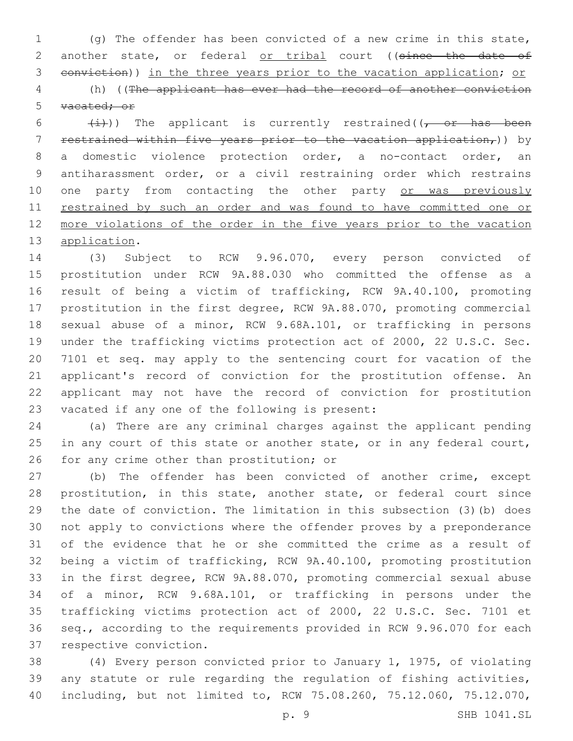(g) The offender has been convicted of a new crime in this state, 2 another state, or federal or tribal court ((since the date of conviction)) in the three years prior to the vacation application; or

 (h) ((The applicant has ever had the record of another conviction vacated; or

 $(\frac{1}{1})$ ) The applicant is currently restrained( $\frac{1}{1}$  or has been restrained within five years prior to the vacation application,)) by a domestic violence protection order, a no-contact order, an antiharassment order, or a civil restraining order which restrains 10 one party from contacting the other party or was previously 11 restrained by such an order and was found to have committed one or more violations of the order in the five years prior to the vacation 13 application.

 (3) Subject to RCW 9.96.070, every person convicted of prostitution under RCW 9A.88.030 who committed the offense as a result of being a victim of trafficking, RCW 9A.40.100, promoting prostitution in the first degree, RCW 9A.88.070, promoting commercial sexual abuse of a minor, RCW 9.68A.101, or trafficking in persons under the trafficking victims protection act of 2000, 22 U.S.C. Sec. 7101 et seq. may apply to the sentencing court for vacation of the applicant's record of conviction for the prostitution offense. An applicant may not have the record of conviction for prostitution 23 vacated if any one of the following is present:

 (a) There are any criminal charges against the applicant pending 25 in any court of this state or another state, or in any federal court, 26 for any crime other than prostitution; or

 (b) The offender has been convicted of another crime, except prostitution, in this state, another state, or federal court since the date of conviction. The limitation in this subsection (3)(b) does not apply to convictions where the offender proves by a preponderance of the evidence that he or she committed the crime as a result of being a victim of trafficking, RCW 9A.40.100, promoting prostitution in the first degree, RCW 9A.88.070, promoting commercial sexual abuse of a minor, RCW 9.68A.101, or trafficking in persons under the trafficking victims protection act of 2000, 22 U.S.C. Sec. 7101 et seq., according to the requirements provided in RCW 9.96.070 for each 37 respective conviction.

 (4) Every person convicted prior to January 1, 1975, of violating any statute or rule regarding the regulation of fishing activities, including, but not limited to, RCW 75.08.260, 75.12.060, 75.12.070,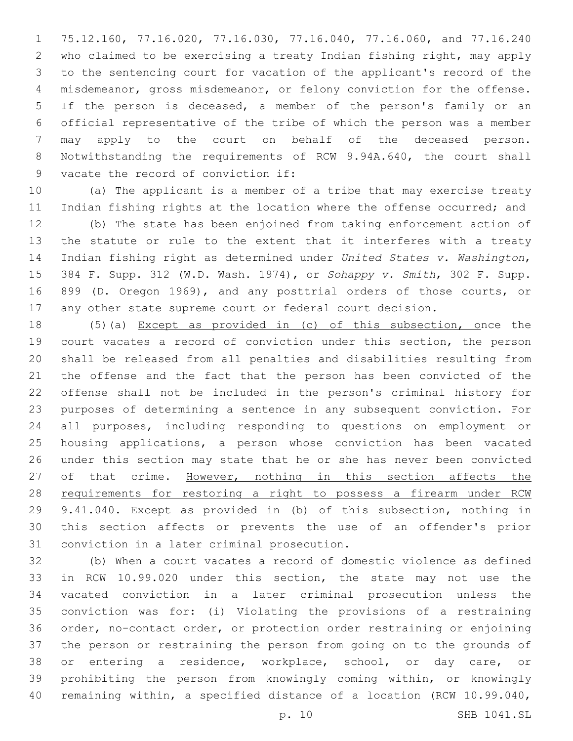75.12.160, 77.16.020, 77.16.030, 77.16.040, 77.16.060, and 77.16.240 who claimed to be exercising a treaty Indian fishing right, may apply to the sentencing court for vacation of the applicant's record of the misdemeanor, gross misdemeanor, or felony conviction for the offense. If the person is deceased, a member of the person's family or an official representative of the tribe of which the person was a member may apply to the court on behalf of the deceased person. Notwithstanding the requirements of RCW 9.94A.640, the court shall 9 vacate the record of conviction if:

 (a) The applicant is a member of a tribe that may exercise treaty 11 Indian fishing rights at the location where the offense occurred; and

 (b) The state has been enjoined from taking enforcement action of the statute or rule to the extent that it interferes with a treaty Indian fishing right as determined under *United States v. Washington*, 384 F. Supp. 312 (W.D. Wash. 1974), or *Sohappy v. Smith*, 302 F. Supp. 899 (D. Oregon 1969), and any posttrial orders of those courts, or any other state supreme court or federal court decision.

 (5)(a) Except as provided in (c) of this subsection, once the court vacates a record of conviction under this section, the person shall be released from all penalties and disabilities resulting from the offense and the fact that the person has been convicted of the offense shall not be included in the person's criminal history for purposes of determining a sentence in any subsequent conviction. For all purposes, including responding to questions on employment or housing applications, a person whose conviction has been vacated under this section may state that he or she has never been convicted 27 of that crime. However, nothing in this section affects the requirements for restoring a right to possess a firearm under RCW 9.41.040. Except as provided in (b) of this subsection, nothing in this section affects or prevents the use of an offender's prior 31 conviction in a later criminal prosecution.

 (b) When a court vacates a record of domestic violence as defined in RCW 10.99.020 under this section, the state may not use the vacated conviction in a later criminal prosecution unless the conviction was for: (i) Violating the provisions of a restraining order, no-contact order, or protection order restraining or enjoining the person or restraining the person from going on to the grounds of or entering a residence, workplace, school, or day care, or prohibiting the person from knowingly coming within, or knowingly remaining within, a specified distance of a location (RCW 10.99.040,

p. 10 SHB 1041.SL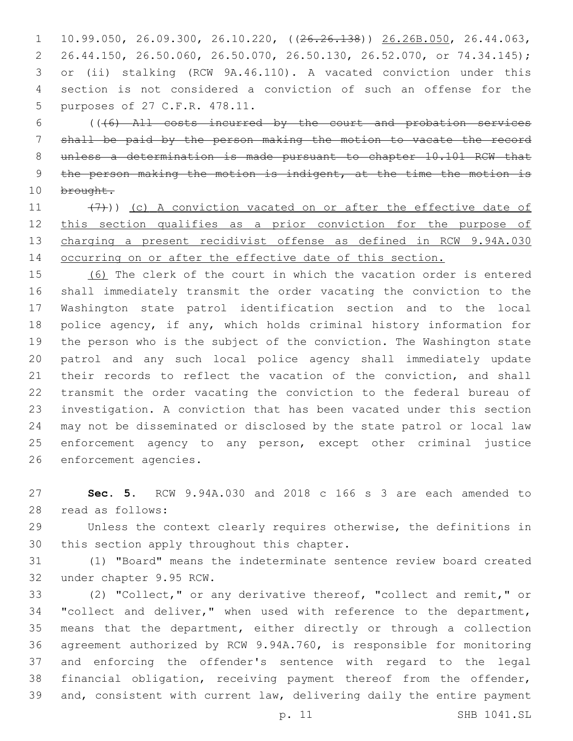10.99.050, 26.09.300, 26.10.220, ((26.26.138)) 26.26B.050, 26.44.063, 26.44.150, 26.50.060, 26.50.070, 26.50.130, 26.52.070, or 74.34.145); or (ii) stalking (RCW 9A.46.110). A vacated conviction under this section is not considered a conviction of such an offense for the 5 purposes of 27 C.F.R. 478.11.

 (((6) All costs incurred by the court and probation services shall be paid by the person making the motion to vacate the record unless a determination is made pursuant to chapter 10.101 RCW that 9 the person making the motion is indigent, at the time the motion is 10 brought.

 $(7)$ )) (c) A conviction vacated on or after the effective date of this section qualifies as a prior conviction for the purpose of charging a present recidivist offense as defined in RCW 9.94A.030 14 occurring on or after the effective date of this section.

 (6) The clerk of the court in which the vacation order is entered shall immediately transmit the order vacating the conviction to the Washington state patrol identification section and to the local police agency, if any, which holds criminal history information for the person who is the subject of the conviction. The Washington state patrol and any such local police agency shall immediately update 21 their records to reflect the vacation of the conviction, and shall transmit the order vacating the conviction to the federal bureau of investigation. A conviction that has been vacated under this section may not be disseminated or disclosed by the state patrol or local law enforcement agency to any person, except other criminal justice 26 enforcement agencies.

 **Sec. 5.** RCW 9.94A.030 and 2018 c 166 s 3 are each amended to read as follows:28

 Unless the context clearly requires otherwise, the definitions in 30 this section apply throughout this chapter.

 (1) "Board" means the indeterminate sentence review board created 32 under chapter 9.95 RCW.

 (2) "Collect," or any derivative thereof, "collect and remit," or 34 "collect and deliver," when used with reference to the department, means that the department, either directly or through a collection agreement authorized by RCW 9.94A.760, is responsible for monitoring and enforcing the offender's sentence with regard to the legal financial obligation, receiving payment thereof from the offender, and, consistent with current law, delivering daily the entire payment

p. 11 SHB 1041.SL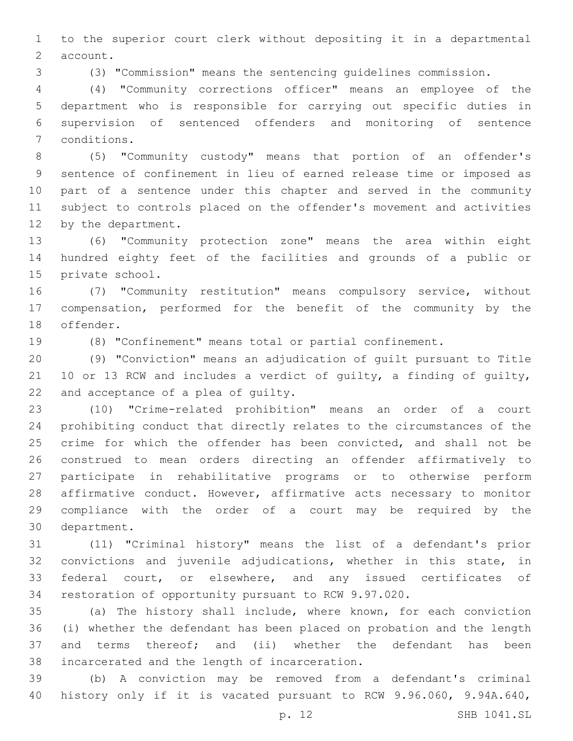to the superior court clerk without depositing it in a departmental 2 account.

(3) "Commission" means the sentencing guidelines commission.

 (4) "Community corrections officer" means an employee of the department who is responsible for carrying out specific duties in supervision of sentenced offenders and monitoring of sentence 7 conditions.

 (5) "Community custody" means that portion of an offender's sentence of confinement in lieu of earned release time or imposed as part of a sentence under this chapter and served in the community subject to controls placed on the offender's movement and activities 12 by the department.

 (6) "Community protection zone" means the area within eight hundred eighty feet of the facilities and grounds of a public or 15 private school.

 (7) "Community restitution" means compulsory service, without compensation, performed for the benefit of the community by the 18 offender.

(8) "Confinement" means total or partial confinement.

 (9) "Conviction" means an adjudication of guilt pursuant to Title 10 or 13 RCW and includes a verdict of guilty, a finding of guilty, 22 and acceptance of a plea of guilty.

 (10) "Crime-related prohibition" means an order of a court prohibiting conduct that directly relates to the circumstances of the 25 crime for which the offender has been convicted, and shall not be construed to mean orders directing an offender affirmatively to participate in rehabilitative programs or to otherwise perform affirmative conduct. However, affirmative acts necessary to monitor compliance with the order of a court may be required by the 30 department.

 (11) "Criminal history" means the list of a defendant's prior convictions and juvenile adjudications, whether in this state, in federal court, or elsewhere, and any issued certificates of restoration of opportunity pursuant to RCW 9.97.020.

 (a) The history shall include, where known, for each conviction (i) whether the defendant has been placed on probation and the length and terms thereof; and (ii) whether the defendant has been 38 incarcerated and the length of incarceration.

 (b) A conviction may be removed from a defendant's criminal history only if it is vacated pursuant to RCW 9.96.060, 9.94A.640,

p. 12 SHB 1041.SL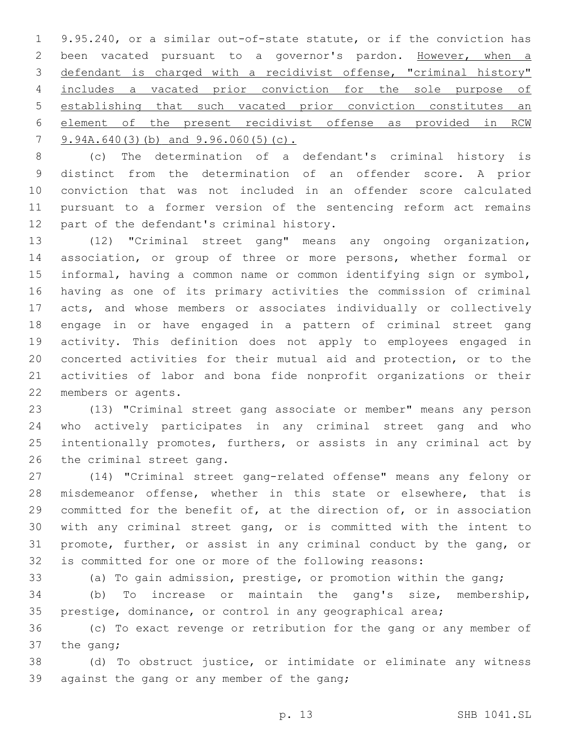9.95.240, or a similar out-of-state statute, or if the conviction has been vacated pursuant to a governor's pardon. However, when a defendant is charged with a recidivist offense, "criminal history" includes a vacated prior conviction for the sole purpose of establishing that such vacated prior conviction constitutes an element of the present recidivist offense as provided in RCW 9.94A.640(3)(b) and 9.96.060(5)(c).

 (c) The determination of a defendant's criminal history is distinct from the determination of an offender score. A prior conviction that was not included in an offender score calculated pursuant to a former version of the sentencing reform act remains 12 part of the defendant's criminal history.

 (12) "Criminal street gang" means any ongoing organization, association, or group of three or more persons, whether formal or informal, having a common name or common identifying sign or symbol, having as one of its primary activities the commission of criminal acts, and whose members or associates individually or collectively engage in or have engaged in a pattern of criminal street gang activity. This definition does not apply to employees engaged in concerted activities for their mutual aid and protection, or to the activities of labor and bona fide nonprofit organizations or their 22 members or agents.

 (13) "Criminal street gang associate or member" means any person who actively participates in any criminal street gang and who intentionally promotes, furthers, or assists in any criminal act by 26 the criminal street gang.

 (14) "Criminal street gang-related offense" means any felony or misdemeanor offense, whether in this state or elsewhere, that is committed for the benefit of, at the direction of, or in association with any criminal street gang, or is committed with the intent to promote, further, or assist in any criminal conduct by the gang, or is committed for one or more of the following reasons:

(a) To gain admission, prestige, or promotion within the gang;

 (b) To increase or maintain the gang's size, membership, prestige, dominance, or control in any geographical area;

 (c) To exact revenge or retribution for the gang or any member of the gang;

 (d) To obstruct justice, or intimidate or eliminate any witness 39 against the gang or any member of the gang;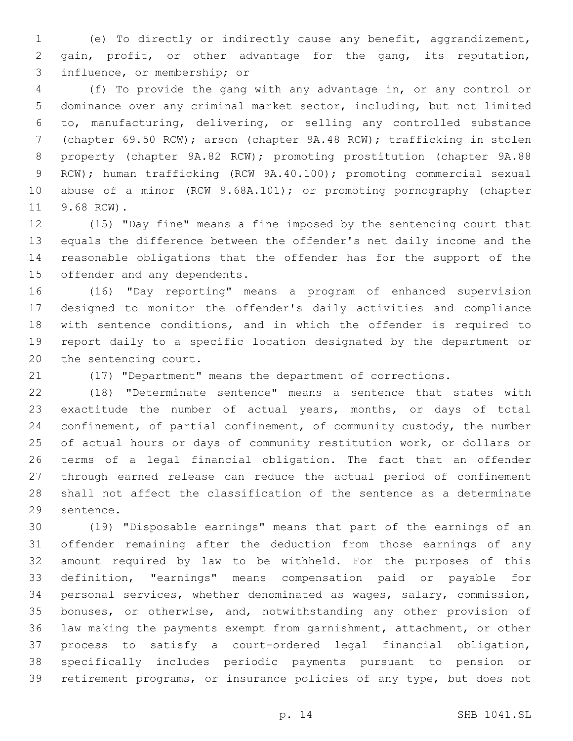(e) To directly or indirectly cause any benefit, aggrandizement, gain, profit, or other advantage for the gang, its reputation, 3 influence, or membership; or

 (f) To provide the gang with any advantage in, or any control or dominance over any criminal market sector, including, but not limited to, manufacturing, delivering, or selling any controlled substance (chapter 69.50 RCW); arson (chapter 9A.48 RCW); trafficking in stolen property (chapter 9A.82 RCW); promoting prostitution (chapter 9A.88 RCW); human trafficking (RCW 9A.40.100); promoting commercial sexual abuse of a minor (RCW 9.68A.101); or promoting pornography (chapter 11 9.68 RCW).

 (15) "Day fine" means a fine imposed by the sentencing court that equals the difference between the offender's net daily income and the reasonable obligations that the offender has for the support of the 15 offender and any dependents.

 (16) "Day reporting" means a program of enhanced supervision designed to monitor the offender's daily activities and compliance with sentence conditions, and in which the offender is required to report daily to a specific location designated by the department or 20 the sentencing court.

(17) "Department" means the department of corrections.

 (18) "Determinate sentence" means a sentence that states with exactitude the number of actual years, months, or days of total confinement, of partial confinement, of community custody, the number of actual hours or days of community restitution work, or dollars or terms of a legal financial obligation. The fact that an offender through earned release can reduce the actual period of confinement shall not affect the classification of the sentence as a determinate 29 sentence.

 (19) "Disposable earnings" means that part of the earnings of an offender remaining after the deduction from those earnings of any amount required by law to be withheld. For the purposes of this definition, "earnings" means compensation paid or payable for personal services, whether denominated as wages, salary, commission, bonuses, or otherwise, and, notwithstanding any other provision of law making the payments exempt from garnishment, attachment, or other process to satisfy a court-ordered legal financial obligation, specifically includes periodic payments pursuant to pension or retirement programs, or insurance policies of any type, but does not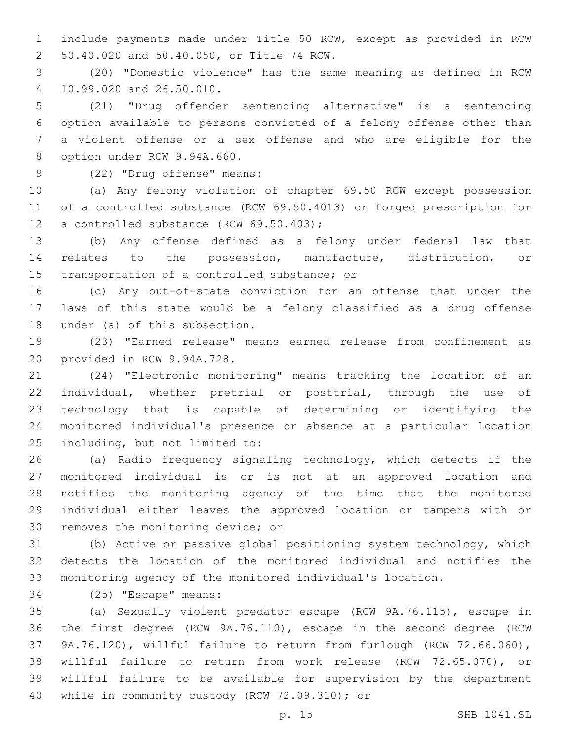include payments made under Title 50 RCW, except as provided in RCW 50.40.020 and 50.40.050, or Title 74 RCW.2

 (20) "Domestic violence" has the same meaning as defined in RCW 10.99.020 and 26.50.010.4

 (21) "Drug offender sentencing alternative" is a sentencing option available to persons convicted of a felony offense other than a violent offense or a sex offense and who are eligible for the 8 option under RCW 9.94A.660.

# 9 (22) "Drug offense" means:

 (a) Any felony violation of chapter 69.50 RCW except possession of a controlled substance (RCW 69.50.4013) or forged prescription for 12 a controlled substance (RCW 69.50.403);

 (b) Any offense defined as a felony under federal law that relates to the possession, manufacture, distribution, or 15 transportation of a controlled substance; or

 (c) Any out-of-state conviction for an offense that under the laws of this state would be a felony classified as a drug offense 18 under (a) of this subsection.

 (23) "Earned release" means earned release from confinement as 20 provided in RCW 9.94A.728.

 (24) "Electronic monitoring" means tracking the location of an individual, whether pretrial or posttrial, through the use of technology that is capable of determining or identifying the monitored individual's presence or absence at a particular location 25 including, but not limited to:

 (a) Radio frequency signaling technology, which detects if the monitored individual is or is not at an approved location and notifies the monitoring agency of the time that the monitored individual either leaves the approved location or tampers with or 30 removes the monitoring device; or

 (b) Active or passive global positioning system technology, which detects the location of the monitored individual and notifies the monitoring agency of the monitored individual's location.

34 (25) "Escape" means:

 (a) Sexually violent predator escape (RCW 9A.76.115), escape in the first degree (RCW 9A.76.110), escape in the second degree (RCW 9A.76.120), willful failure to return from furlough (RCW 72.66.060), willful failure to return from work release (RCW 72.65.070), or willful failure to be available for supervision by the department 40 while in community custody (RCW 72.09.310); or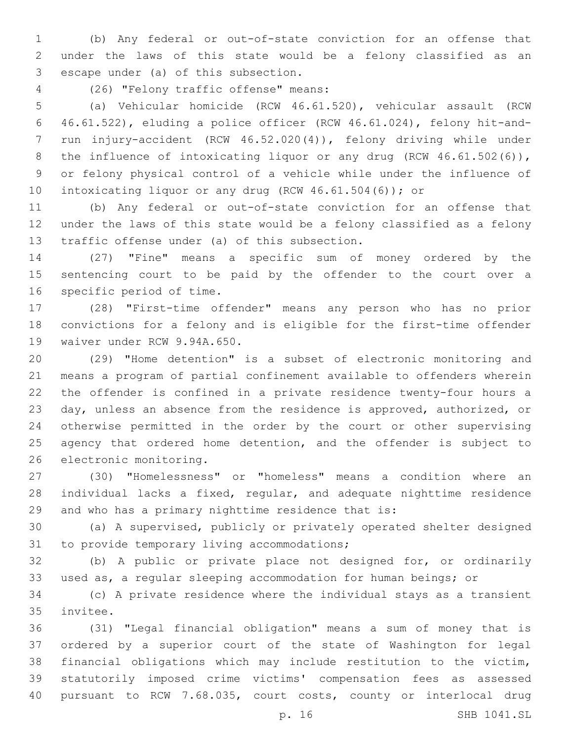(b) Any federal or out-of-state conviction for an offense that under the laws of this state would be a felony classified as an 3 escape under (a) of this subsection.

(26) "Felony traffic offense" means:4

 (a) Vehicular homicide (RCW 46.61.520), vehicular assault (RCW 46.61.522), eluding a police officer (RCW 46.61.024), felony hit-and- run injury-accident (RCW 46.52.020(4)), felony driving while under 8 the influence of intoxicating liquor or any drug (RCW 46.61.502(6)), or felony physical control of a vehicle while under the influence of intoxicating liquor or any drug (RCW 46.61.504(6)); or

 (b) Any federal or out-of-state conviction for an offense that under the laws of this state would be a felony classified as a felony 13 traffic offense under (a) of this subsection.

 (27) "Fine" means a specific sum of money ordered by the sentencing court to be paid by the offender to the court over a 16 specific period of time.

 (28) "First-time offender" means any person who has no prior convictions for a felony and is eligible for the first-time offender 19 waiver under RCW 9.94A.650.

 (29) "Home detention" is a subset of electronic monitoring and means a program of partial confinement available to offenders wherein the offender is confined in a private residence twenty-four hours a day, unless an absence from the residence is approved, authorized, or otherwise permitted in the order by the court or other supervising 25 agency that ordered home detention, and the offender is subject to 26 electronic monitoring.

 (30) "Homelessness" or "homeless" means a condition where an individual lacks a fixed, regular, and adequate nighttime residence and who has a primary nighttime residence that is:

 (a) A supervised, publicly or privately operated shelter designed 31 to provide temporary living accommodations;

 (b) A public or private place not designed for, or ordinarily used as, a regular sleeping accommodation for human beings; or

 (c) A private residence where the individual stays as a transient 35 invitee.

 (31) "Legal financial obligation" means a sum of money that is ordered by a superior court of the state of Washington for legal financial obligations which may include restitution to the victim, statutorily imposed crime victims' compensation fees as assessed pursuant to RCW 7.68.035, court costs, county or interlocal drug

p. 16 SHB 1041.SL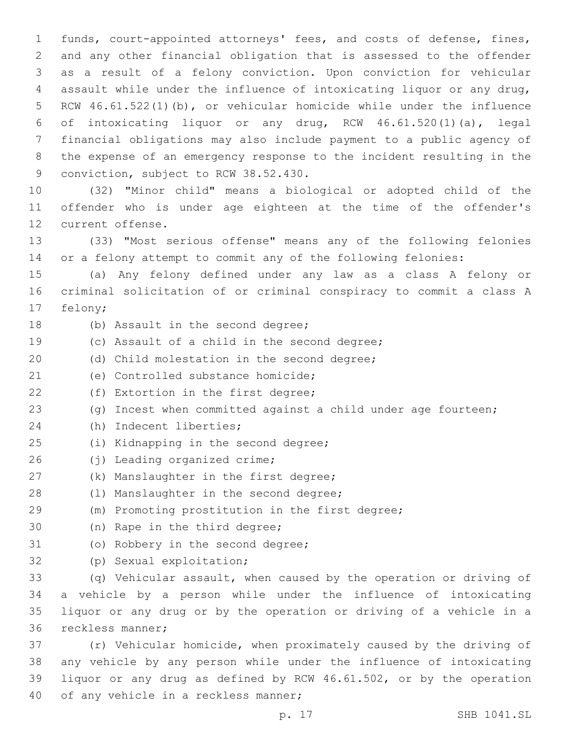funds, court-appointed attorneys' fees, and costs of defense, fines, and any other financial obligation that is assessed to the offender as a result of a felony conviction. Upon conviction for vehicular assault while under the influence of intoxicating liquor or any drug, RCW 46.61.522(1)(b), or vehicular homicide while under the influence of intoxicating liquor or any drug, RCW 46.61.520(1)(a), legal financial obligations may also include payment to a public agency of the expense of an emergency response to the incident resulting in the 9 conviction, subject to RCW 38.52.430.

10 (32) "Minor child" means a biological or adopted child of the 11 offender who is under age eighteen at the time of the offender's 12 current offense.

13 (33) "Most serious offense" means any of the following felonies 14 or a felony attempt to commit any of the following felonies:

15 (a) Any felony defined under any law as a class A felony or 16 criminal solicitation of or criminal conspiracy to commit a class A 17 felony;

- 
- 18 (b) Assault in the second degree;
- 19 (c) Assault of a child in the second degree;
- 20 (d) Child molestation in the second degree;
- 21 (e) Controlled substance homicide;
- 22 (f) Extortion in the first degree;
- 23 (g) Incest when committed against a child under age fourteen;
- 24 (h) Indecent liberties;
- 25 (i) Kidnapping in the second degree;
- 26 (j) Leading organized crime;
- 27 (k) Manslaughter in the first degree;
- 28 (1) Manslaughter in the second degree;
- 29 (m) Promoting prostitution in the first degree;
- 30 (n) Rape in the third degree;
- 31 (o) Robbery in the second degree;
- 32 (p) Sexual exploitation;

 (q) Vehicular assault, when caused by the operation or driving of a vehicle by a person while under the influence of intoxicating liquor or any drug or by the operation or driving of a vehicle in a 36 reckless manner;

 (r) Vehicular homicide, when proximately caused by the driving of any vehicle by any person while under the influence of intoxicating liquor or any drug as defined by RCW 46.61.502, or by the operation 40 of any vehicle in a reckless manner;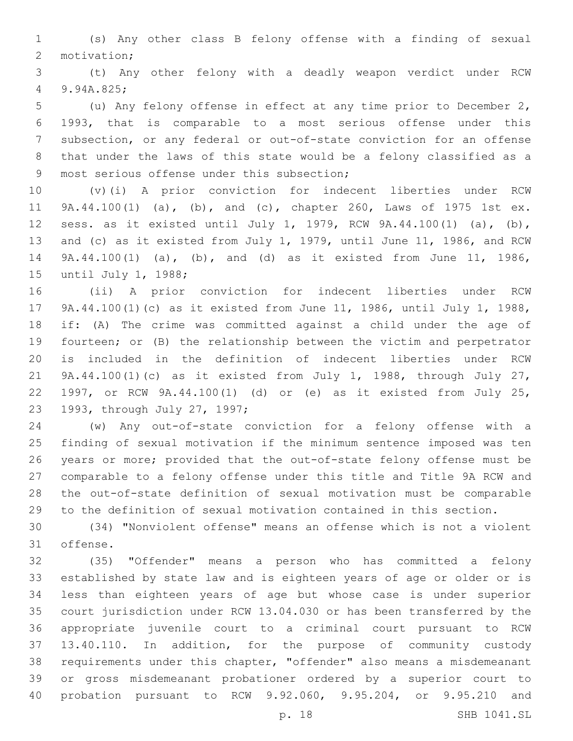(s) Any other class B felony offense with a finding of sexual 2 motivation;

 (t) Any other felony with a deadly weapon verdict under RCW 9.94A.825;4

 (u) Any felony offense in effect at any time prior to December 2, 1993, that is comparable to a most serious offense under this subsection, or any federal or out-of-state conviction for an offense that under the laws of this state would be a felony classified as a 9 most serious offense under this subsection;

 (v)(i) A prior conviction for indecent liberties under RCW 9A.44.100(1) (a), (b), and (c), chapter 260, Laws of 1975 1st ex. sess. as it existed until July 1, 1979, RCW 9A.44.100(1) (a), (b), and (c) as it existed from July 1, 1979, until June 11, 1986, and RCW 9A.44.100(1) (a), (b), and (d) as it existed from June 11, 1986, 15 until July 1, 1988;

 (ii) A prior conviction for indecent liberties under RCW 9A.44.100(1)(c) as it existed from June 11, 1986, until July 1, 1988, if: (A) The crime was committed against a child under the age of fourteen; or (B) the relationship between the victim and perpetrator is included in the definition of indecent liberties under RCW 9A.44.100(1)(c) as it existed from July 1, 1988, through July 27, 1997, or RCW 9A.44.100(1) (d) or (e) as it existed from July 25, 23 1993, through July 27, 1997;

 (w) Any out-of-state conviction for a felony offense with a finding of sexual motivation if the minimum sentence imposed was ten years or more; provided that the out-of-state felony offense must be comparable to a felony offense under this title and Title 9A RCW and the out-of-state definition of sexual motivation must be comparable to the definition of sexual motivation contained in this section.

 (34) "Nonviolent offense" means an offense which is not a violent 31 offense.

 (35) "Offender" means a person who has committed a felony established by state law and is eighteen years of age or older or is less than eighteen years of age but whose case is under superior court jurisdiction under RCW 13.04.030 or has been transferred by the appropriate juvenile court to a criminal court pursuant to RCW 13.40.110. In addition, for the purpose of community custody requirements under this chapter, "offender" also means a misdemeanant or gross misdemeanant probationer ordered by a superior court to probation pursuant to RCW 9.92.060, 9.95.204, or 9.95.210 and

p. 18 SHB 1041.SL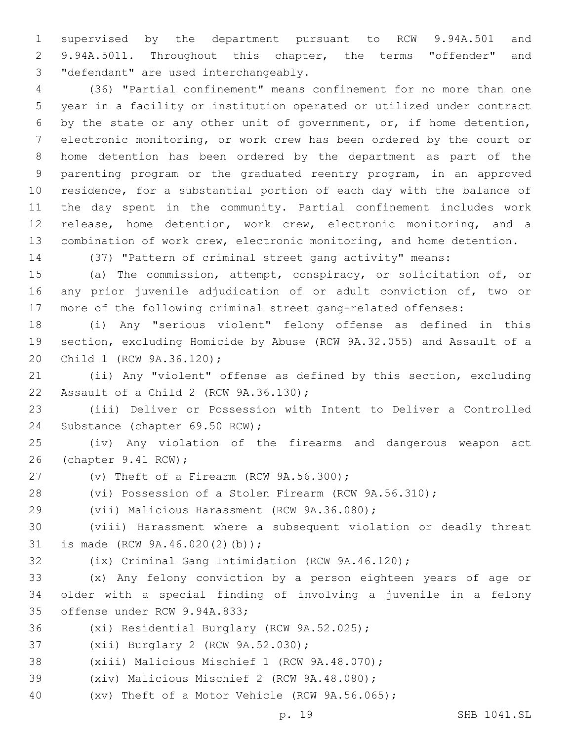supervised by the department pursuant to RCW 9.94A.501 and 9.94A.5011. Throughout this chapter, the terms "offender" and 3 "defendant" are used interchangeably.

 (36) "Partial confinement" means confinement for no more than one year in a facility or institution operated or utilized under contract by the state or any other unit of government, or, if home detention, electronic monitoring, or work crew has been ordered by the court or home detention has been ordered by the department as part of the parenting program or the graduated reentry program, in an approved residence, for a substantial portion of each day with the balance of the day spent in the community. Partial confinement includes work release, home detention, work crew, electronic monitoring, and a combination of work crew, electronic monitoring, and home detention.

(37) "Pattern of criminal street gang activity" means:

 (a) The commission, attempt, conspiracy, or solicitation of, or any prior juvenile adjudication of or adult conviction of, two or more of the following criminal street gang-related offenses:

 (i) Any "serious violent" felony offense as defined in this section, excluding Homicide by Abuse (RCW 9A.32.055) and Assault of a 20 Child 1 (RCW 9A.36.120);

 (ii) Any "violent" offense as defined by this section, excluding 22 Assault of a Child 2 (RCW 9A.36.130);

 (iii) Deliver or Possession with Intent to Deliver a Controlled 24 Substance (chapter 69.50 RCW);

 (iv) Any violation of the firearms and dangerous weapon act 26 (chapter 9.41 RCW);

27  $(v)$  Theft of a Firearm (RCW  $9A.56.300$ );

(vi) Possession of a Stolen Firearm (RCW 9A.56.310);

29 (vii) Malicious Harassment (RCW 9A.36.080);

 (viii) Harassment where a subsequent violation or deadly threat 31 is made (RCW 9A.46.020(2)(b));

(ix) Criminal Gang Intimidation (RCW 9A.46.120);

 (x) Any felony conviction by a person eighteen years of age or older with a special finding of involving a juvenile in a felony 35 offense under RCW 9.94A.833;

36 (xi) Residential Burglary (RCW 9A.52.025);

37 (xii) Burglary 2 (RCW 9A.52.030);

38 (xiii) Malicious Mischief 1 (RCW 9A.48.070);

39 (xiv) Malicious Mischief 2 (RCW 9A.48.080);

(xv) Theft of a Motor Vehicle (RCW 9A.56.065);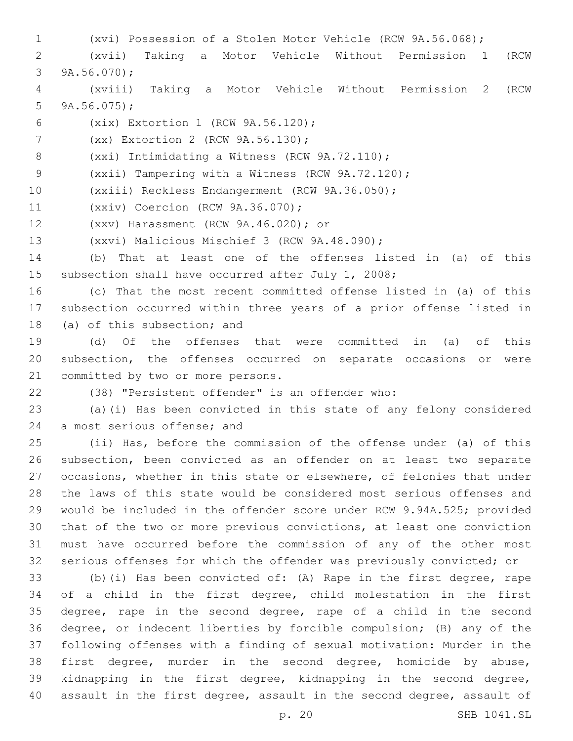- (xvi) Possession of a Stolen Motor Vehicle (RCW 9A.56.068);
- (xvii) Taking a Motor Vehicle Without Permission 1 (RCW 3  $9A.56.070$ ;
- (xviii) Taking a Motor Vehicle Without Permission 2 (RCW 5  $9A.56.075$ ;
- (xix) Extortion 1 (RCW 9A.56.120);6
- 7 (xx) Extortion 2 (RCW 9A.56.130);
- 8 (xxi) Intimidating a Witness (RCW 9A.72.110);

(xxii) Tampering with a Witness (RCW 9A.72.120);

- (xxiii) Reckless Endangerment (RCW 9A.36.050);
- 11 (xxiv) Coercion (RCW 9A.36.070);
- (xxv) Harassment (RCW 9A.46.020); or12
- 13 (xxvi) Malicious Mischief 3 (RCW 9A.48.090);
- (b) That at least one of the offenses listed in (a) of this subsection shall have occurred after July 1, 2008;
- (c) That the most recent committed offense listed in (a) of this subsection occurred within three years of a prior offense listed in 18 (a) of this subsection; and
- (d) Of the offenses that were committed in (a) of this subsection, the offenses occurred on separate occasions or were 21 committed by two or more persons.
- 

(38) "Persistent offender" is an offender who:

 (a)(i) Has been convicted in this state of any felony considered 24 a most serious offense; and

 (ii) Has, before the commission of the offense under (a) of this subsection, been convicted as an offender on at least two separate occasions, whether in this state or elsewhere, of felonies that under the laws of this state would be considered most serious offenses and would be included in the offender score under RCW 9.94A.525; provided that of the two or more previous convictions, at least one conviction must have occurred before the commission of any of the other most serious offenses for which the offender was previously convicted; or

 (b)(i) Has been convicted of: (A) Rape in the first degree, rape of a child in the first degree, child molestation in the first degree, rape in the second degree, rape of a child in the second degree, or indecent liberties by forcible compulsion; (B) any of the following offenses with a finding of sexual motivation: Murder in the first degree, murder in the second degree, homicide by abuse, kidnapping in the first degree, kidnapping in the second degree, assault in the first degree, assault in the second degree, assault of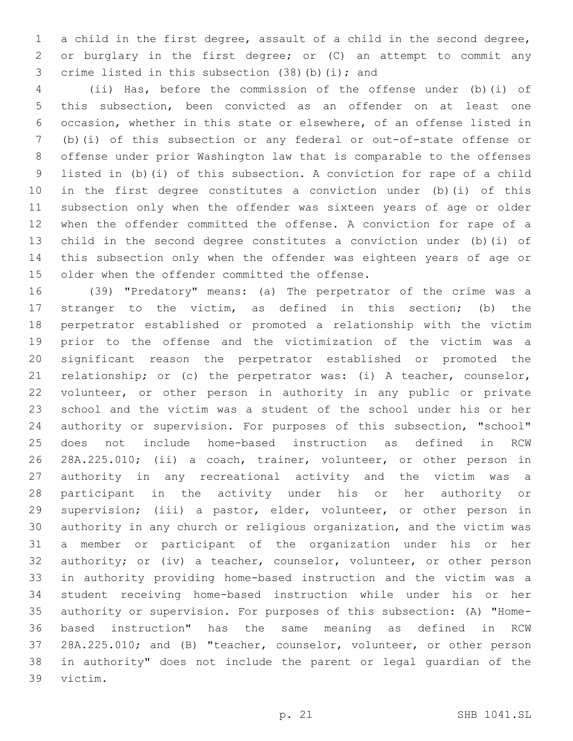a child in the first degree, assault of a child in the second degree, or burglary in the first degree; or (C) an attempt to commit any 3 crime listed in this subsection (38)(b)(i); and

 (ii) Has, before the commission of the offense under (b)(i) of this subsection, been convicted as an offender on at least one occasion, whether in this state or elsewhere, of an offense listed in (b)(i) of this subsection or any federal or out-of-state offense or offense under prior Washington law that is comparable to the offenses listed in (b)(i) of this subsection. A conviction for rape of a child in the first degree constitutes a conviction under (b)(i) of this subsection only when the offender was sixteen years of age or older when the offender committed the offense. A conviction for rape of a child in the second degree constitutes a conviction under (b)(i) of this subsection only when the offender was eighteen years of age or 15 older when the offender committed the offense.

 (39) "Predatory" means: (a) The perpetrator of the crime was a stranger to the victim, as defined in this section; (b) the perpetrator established or promoted a relationship with the victim prior to the offense and the victimization of the victim was a significant reason the perpetrator established or promoted the relationship; or (c) the perpetrator was: (i) A teacher, counselor, volunteer, or other person in authority in any public or private school and the victim was a student of the school under his or her authority or supervision. For purposes of this subsection, "school" does not include home-based instruction as defined in RCW 28A.225.010; (ii) a coach, trainer, volunteer, or other person in authority in any recreational activity and the victim was a participant in the activity under his or her authority or supervision; (iii) a pastor, elder, volunteer, or other person in authority in any church or religious organization, and the victim was a member or participant of the organization under his or her 32 authority; or (iv) a teacher, counselor, volunteer, or other person in authority providing home-based instruction and the victim was a student receiving home-based instruction while under his or her authority or supervision. For purposes of this subsection: (A) "Home- based instruction" has the same meaning as defined in RCW 28A.225.010; and (B) "teacher, counselor, volunteer, or other person in authority" does not include the parent or legal guardian of the 39 victim.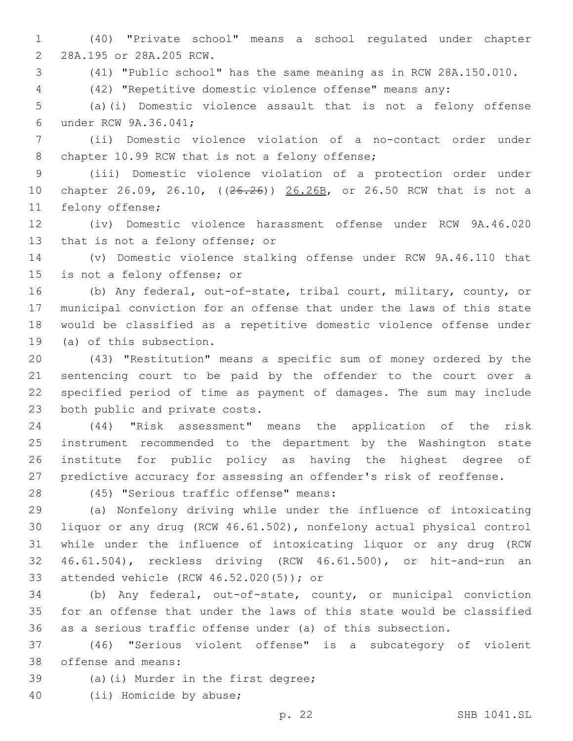(40) "Private school" means a school regulated under chapter 2 28A.195 or 28A.205 RCW.

(41) "Public school" has the same meaning as in RCW 28A.150.010.

(42) "Repetitive domestic violence offense" means any:

 (a)(i) Domestic violence assault that is not a felony offense 6 under RCW 9A.36.041;

 (ii) Domestic violence violation of a no-contact order under 8 chapter 10.99 RCW that is not a felony offense;

 (iii) Domestic violence violation of a protection order under 10 chapter 26.09, 26.10, ((26.26)) 26.26B, or 26.50 RCW that is not a 11 felony offense;

 (iv) Domestic violence harassment offense under RCW 9A.46.020 13 that is not a felony offense; or

 (v) Domestic violence stalking offense under RCW 9A.46.110 that 15 is not a felony offense; or

 (b) Any federal, out-of-state, tribal court, military, county, or municipal conviction for an offense that under the laws of this state would be classified as a repetitive domestic violence offense under 19 (a) of this subsection.

 (43) "Restitution" means a specific sum of money ordered by the sentencing court to be paid by the offender to the court over a specified period of time as payment of damages. The sum may include 23 both public and private costs.

 (44) "Risk assessment" means the application of the risk instrument recommended to the department by the Washington state institute for public policy as having the highest degree of predictive accuracy for assessing an offender's risk of reoffense.

(45) "Serious traffic offense" means:28

 (a) Nonfelony driving while under the influence of intoxicating liquor or any drug (RCW 46.61.502), nonfelony actual physical control while under the influence of intoxicating liquor or any drug (RCW 46.61.504), reckless driving (RCW 46.61.500), or hit-and-run an 33 attended vehicle (RCW 46.52.020(5)); or

 (b) Any federal, out-of-state, county, or municipal conviction for an offense that under the laws of this state would be classified as a serious traffic offense under (a) of this subsection.

 (46) "Serious violent offense" is a subcategory of violent 38 offense and means:

39 (a)(i) Murder in the first degree;

40 (ii) Homicide by abuse;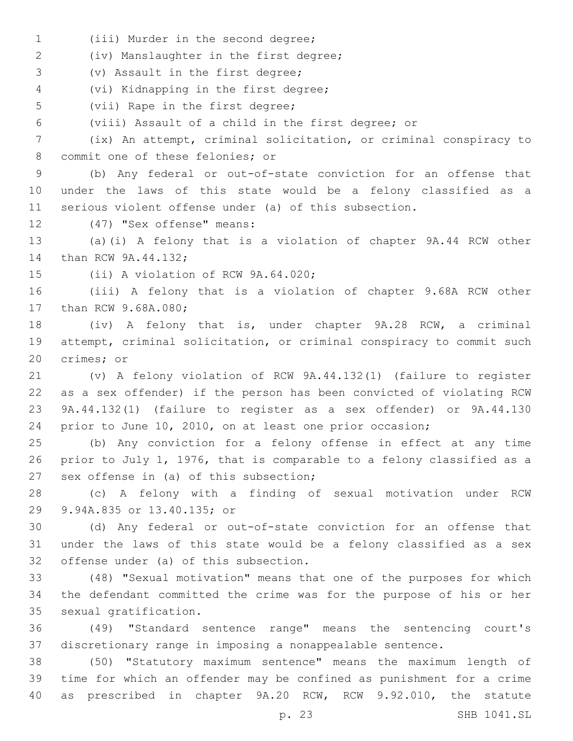1 (iii) Murder in the second degree;

(iv) Manslaughter in the first degree;2

3 (v) Assault in the first degree;

(vi) Kidnapping in the first degree;4

5 (vii) Rape in the first degree;

(viii) Assault of a child in the first degree; or

 (ix) An attempt, criminal solicitation, or criminal conspiracy to 8 commit one of these felonies; or

 (b) Any federal or out-of-state conviction for an offense that under the laws of this state would be a felony classified as a serious violent offense under (a) of this subsection.

12 (47) "Sex offense" means:

 (a)(i) A felony that is a violation of chapter 9A.44 RCW other 14 than RCW 9A.44.132;

15 (ii) A violation of RCW 9A.64.020;

 (iii) A felony that is a violation of chapter 9.68A RCW other 17 than RCW 9.68A.080;

 (iv) A felony that is, under chapter 9A.28 RCW, a criminal attempt, criminal solicitation, or criminal conspiracy to commit such 20 crimes; or

 (v) A felony violation of RCW 9A.44.132(1) (failure to register as a sex offender) if the person has been convicted of violating RCW 9A.44.132(1) (failure to register as a sex offender) or 9A.44.130 prior to June 10, 2010, on at least one prior occasion;

 (b) Any conviction for a felony offense in effect at any time prior to July 1, 1976, that is comparable to a felony classified as a 27 sex offense in (a) of this subsection;

 (c) A felony with a finding of sexual motivation under RCW 29 9.94A.835 or 13.40.135; or

 (d) Any federal or out-of-state conviction for an offense that under the laws of this state would be a felony classified as a sex 32 offense under (a) of this subsection.

 (48) "Sexual motivation" means that one of the purposes for which the defendant committed the crime was for the purpose of his or her 35 sexual gratification.

 (49) "Standard sentence range" means the sentencing court's discretionary range in imposing a nonappealable sentence.

 (50) "Statutory maximum sentence" means the maximum length of time for which an offender may be confined as punishment for a crime as prescribed in chapter 9A.20 RCW, RCW 9.92.010, the statute

p. 23 SHB 1041.SL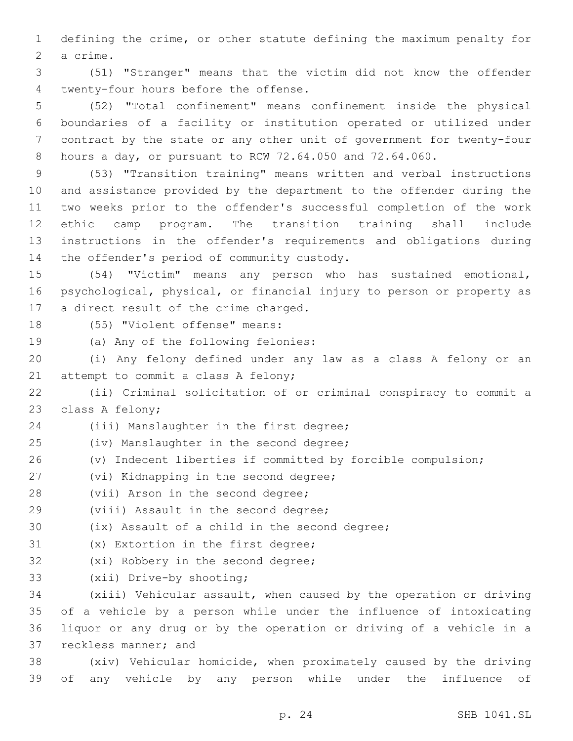1 defining the crime, or other statute defining the maximum penalty for 2 a crime.

3 (51) "Stranger" means that the victim did not know the offender twenty-four hours before the offense.4

 (52) "Total confinement" means confinement inside the physical boundaries of a facility or institution operated or utilized under contract by the state or any other unit of government for twenty-four hours a day, or pursuant to RCW 72.64.050 and 72.64.060.

 (53) "Transition training" means written and verbal instructions and assistance provided by the department to the offender during the two weeks prior to the offender's successful completion of the work ethic camp program. The transition training shall include instructions in the offender's requirements and obligations during 14 the offender's period of community custody.

15 (54) "Victim" means any person who has sustained emotional, 16 psychological, physical, or financial injury to person or property as 17 a direct result of the crime charged.

18 (55) "Violent offense" means:

19 (a) Any of the following felonies:

20 (i) Any felony defined under any law as a class A felony or an 21 attempt to commit a class A felony;

22 (ii) Criminal solicitation of or criminal conspiracy to commit a 23 class A felony;

24 (iii) Manslaughter in the first degree;

- 25 (iv) Manslaughter in the second degree;
- 26 (v) Indecent liberties if committed by forcible compulsion;
- 27 (vi) Kidnapping in the second degree;
- 28 (vii) Arson in the second degree;
- 29 (viii) Assault in the second degree;

30 (ix) Assault of a child in the second degree;

- 31 (x) Extortion in the first degree;
- 32 (xi) Robbery in the second degree;
- 33 (xii) Drive-by shooting;

 (xiii) Vehicular assault, when caused by the operation or driving of a vehicle by a person while under the influence of intoxicating liquor or any drug or by the operation or driving of a vehicle in a 37 reckless manner; and

38 (xiv) Vehicular homicide, when proximately caused by the driving 39 of any vehicle by any person while under the influence of